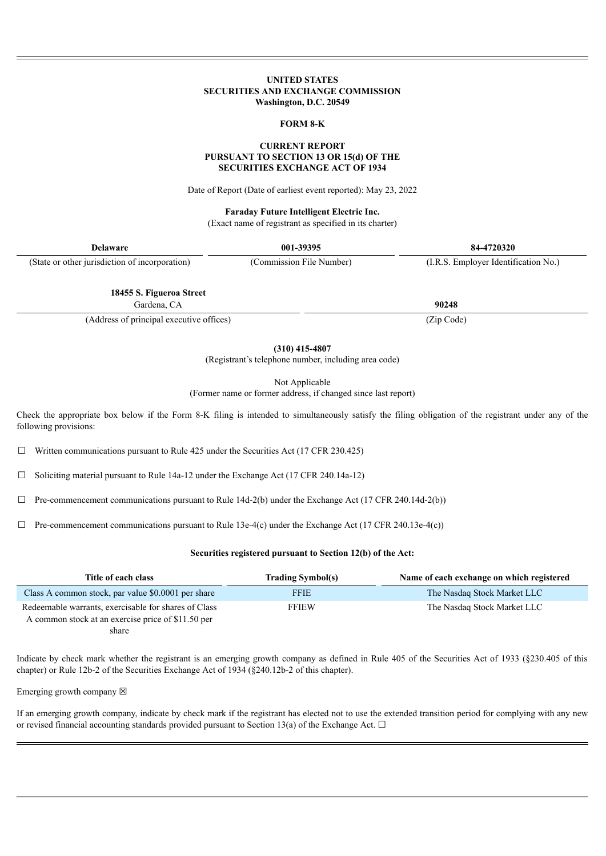#### **UNITED STATES SECURITIES AND EXCHANGE COMMISSION Washington, D.C. 20549**

#### **FORM 8-K**

#### **CURRENT REPORT PURSUANT TO SECTION 13 OR 15(d) OF THE SECURITIES EXCHANGE ACT OF 1934**

Date of Report (Date of earliest event reported): May 23, 2022

#### **Faraday Future Intelligent Electric Inc.**

(Exact name of registrant as specified in its charter)

| <b>Delaware</b>                                | 001-39395                | 84-4720320                           |
|------------------------------------------------|--------------------------|--------------------------------------|
| (State or other jurisdiction of incorporation) | (Commission File Number) | (I.R.S. Employer Identification No.) |
|                                                |                          |                                      |
| 18455 S. Figueroa Street                       |                          |                                      |
| Gardena, CA                                    |                          | 90248                                |

(Address of principal executive offices) (Zip Code)

**(310) 415-4807**

(Registrant's telephone number, including area code)

Not Applicable

(Former name or former address, if changed since last report)

Check the appropriate box below if the Form 8-K filing is intended to simultaneously satisfy the filing obligation of the registrant under any of the following provisions:

 $\Box$  Written communications pursuant to Rule 425 under the Securities Act (17 CFR 230.425)

☐ Soliciting material pursuant to Rule 14a-12 under the Exchange Act (17 CFR 240.14a-12)

 $\Box$  Pre-commencement communications pursuant to Rule 14d-2(b) under the Exchange Act (17 CFR 240.14d-2(b))

 $\Box$  Pre-commencement communications pursuant to Rule 13e-4(c) under the Exchange Act (17 CFR 240.13e-4(c))

#### **Securities registered pursuant to Section 12(b) of the Act:**

| Title of each class                                  | <b>Trading Symbol(s)</b> | Name of each exchange on which registered |
|------------------------------------------------------|--------------------------|-------------------------------------------|
| Class A common stock, par value \$0,0001 per share   | FFIE                     | The Nasdaq Stock Market LLC               |
| Redeemable warrants, exercisable for shares of Class | <b>FFIEW</b>             | The Nasdaq Stock Market LLC               |
| A common stock at an exercise price of \$11.50 per   |                          |                                           |
|                                                      |                          |                                           |

share

Indicate by check mark whether the registrant is an emerging growth company as defined in Rule 405 of the Securities Act of 1933 (§230.405 of this chapter) or Rule 12b-2 of the Securities Exchange Act of 1934 (§240.12b-2 of this chapter).

Emerging growth company  $\boxtimes$ 

If an emerging growth company, indicate by check mark if the registrant has elected not to use the extended transition period for complying with any new or revised financial accounting standards provided pursuant to Section 13(a) of the Exchange Act.  $\Box$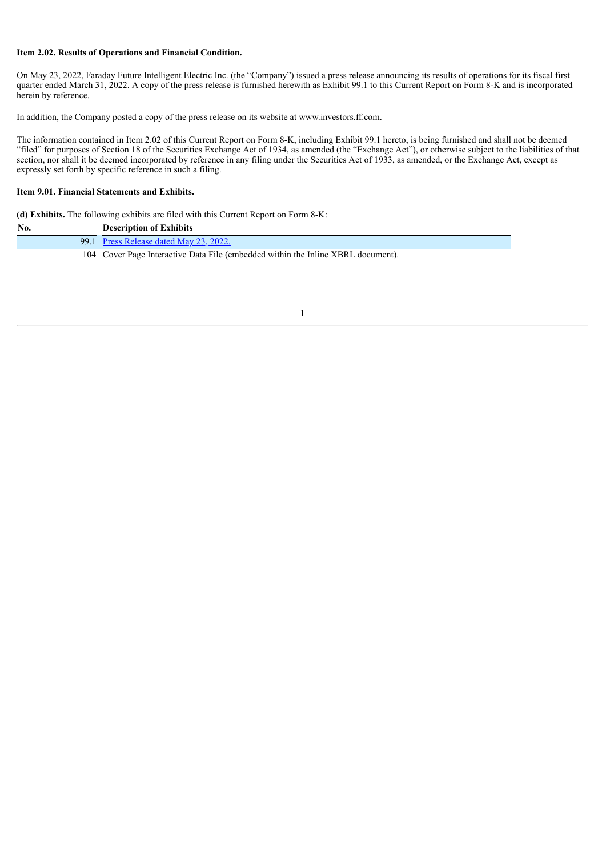## **Item 2.02. Results of Operations and Financial Condition.**

On May 23, 2022, Faraday Future Intelligent Electric Inc. (the "Company") issued a press release announcing its results of operations for its fiscal first quarter ended March 31, 2022. A copy of the press release is furnished herewith as Exhibit 99.1 to this Current Report on Form 8-K and is incorporated herein by reference.

In addition, the Company posted a copy of the press release on its website at www.investors.ff.com.

The information contained in Item 2.02 of this Current Report on Form 8-K, including Exhibit 99.1 hereto, is being furnished and shall not be deemed "filed" for purposes of Section 18 of the Securities Exchange Act of 1934, as amended (the "Exchange Act"), or otherwise subject to the liabilities of that section, nor shall it be deemed incorporated by reference in any filing under the Securities Act of 1933, as amended, or the Exchange Act, except as expressly set forth by specific reference in such a filing.

#### **Item 9.01. Financial Statements and Exhibits.**

**(d) Exhibits.** The following exhibits are filed with this Current Report on Form 8-K:

| No. | <b>Description of Exhibits</b>                                                   |
|-----|----------------------------------------------------------------------------------|
|     | 99.1 Press Release dated May 23, 2022.                                           |
|     | 104 Cover Page Interactive Data File (embedded within the Inline XBRL document). |

1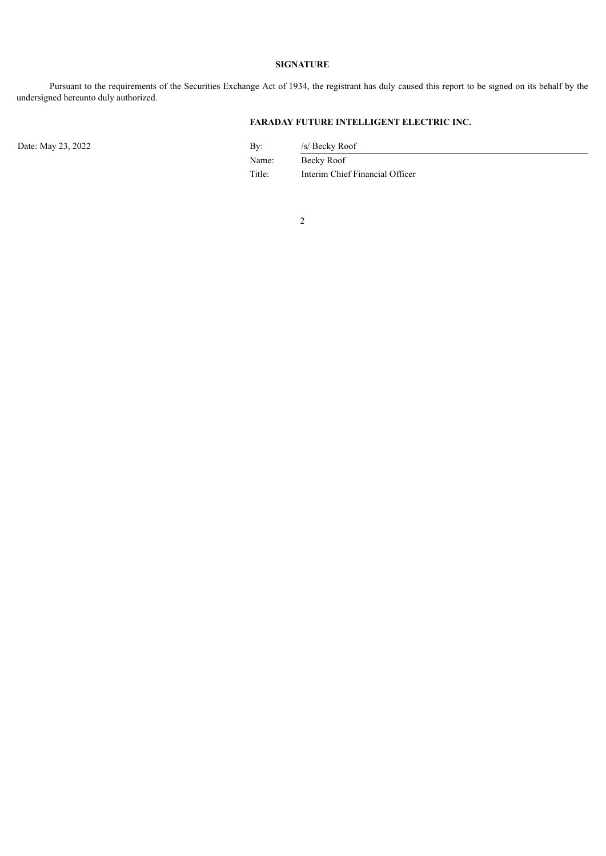## **SIGNATURE**

Pursuant to the requirements of the Securities Exchange Act of 1934, the registrant has duly caused this report to be signed on its behalf by the undersigned hereunto duly authorized.

# **FARADAY FUTURE INTELLIGENT ELECTRIC INC.**

Date: May 23, 2022 By: /s/ Becky Roof

Name: Becky Roof Title: Interim Chief Financial Officer

2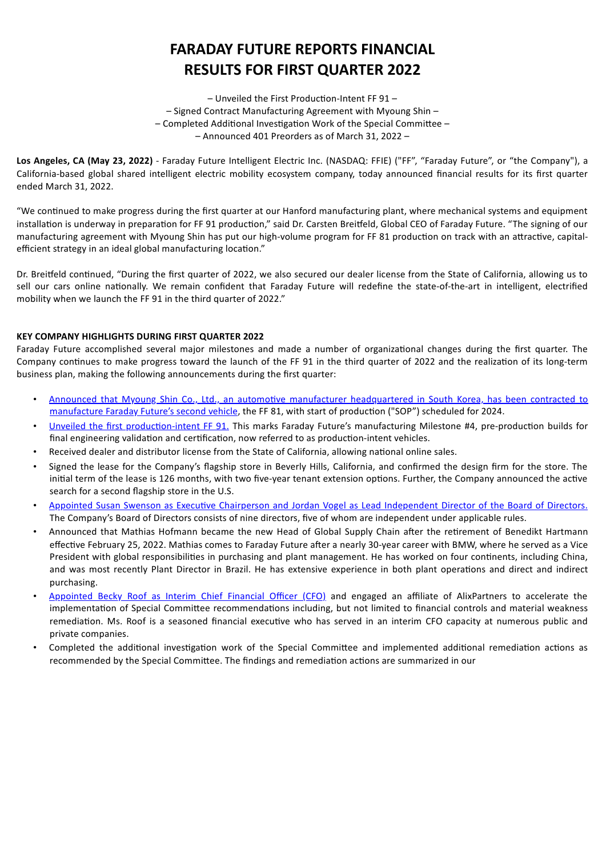# **FARADAY FUTURE REPORTS FINANCIAL RESULTS FOR FIRST QUARTER 2022**

– Unveiled the First Production-Intent FF 91 – – Signed Contract Manufacturing Agreement with Myoung Shin – – Completed Additional Investigation Work of the Special Committee – – Announced 401 Preorders as of March 31, 2022 –

<span id="page-3-0"></span>**Los Angeles, CA (May 23, 2022)** - Faraday Future Intelligent Electric Inc. (NASDAQ: FFIE) ("FF", "Faraday Future", or "the Company"), a California-based global shared intelligent electric mobility ecosystem company, today announced financial results for its first quarter ended March 31, 2022.

"We continued to make progress during the first quarter at our Hanford manufacturing plant, where mechanical systems and equipment installation is underway in preparation for FF 91 production," said Dr. Carsten Breitfeld, Global CEO of Faraday Future. "The signing of our manufacturing agreement with Myoung Shin has put our high-volume program for FF 81 production on track with an attractive, capitalefficient strategy in an ideal global manufacturing location."

Dr. Breitfeld continued, "During the first quarter of 2022, we also secured our dealer license from the State of California, allowing us to sell our cars online nationally. We remain confident that Faraday Future will redefine the state-of-the-art in intelligent, electrified mobility when we launch the FF 91 in the third quarter of 2022."

# **KEY COMPANY HIGHLIGHTS DURING FIRST QUARTER 2022**

Faraday Future accomplished several major milestones and made a number of organizational changes during the first quarter. The Company continues to make progress toward the launch of the FF 91 in the third quarter of 2022 and the realization of its long-term business plan, making the following announcements during the first quarter:

- Announced that Myoung Shin Co., Ltd., an automotive manufacturer headquartered in South Korea, has been contracted to manufacture Faraday Future's second vehicle, the FF 81, with start of production ("SOP") scheduled for 2024.
- Unveiled the first production-intent FF 91. This marks Faraday Future's manufacturing Milestone #4, pre-production builds for final engineering validation and certification, now referred to as production-intent vehicles.
- Received dealer and distributor license from the State of California, allowing national online sales.
- Signed the lease for the Company's flagship store in Beverly Hills, California, and confirmed the design firm for the store. The initial term of the lease is 126 months, with two five-year tenant extension options. Further, the Company announced the active search for a second flagship store in the U.S.
- Appointed Susan Swenson as Executive Chairperson and Jordan Vogel as Lead Independent Director of the Board of Directors. The Company's Board of Directors consists of nine directors, five of whom are independent under applicable rules.
- Announced that Mathias Hofmann became the new Head of Global Supply Chain after the retirement of Benedikt Hartmann effective February 25, 2022. Mathias comes to Faraday Future after a nearly 30-year career with BMW, where he served as a Vice President with global responsibilities in purchasing and plant management. He has worked on four continents, including China, and was most recently Plant Director in Brazil. He has extensive experience in both plant operations and direct and indirect purchasing.
- Appointed Becky Roof as Interim Chief Financial Officer (CFO) and engaged an affiliate of AlixPartners to accelerate the implementation of Special Committee recommendations including, but not limited to financial controls and material weakness remediation. Ms. Roof is a seasoned financial executive who has served in an interim CFO capacity at numerous public and private companies.
- Completed the additional investigation work of the Special Committee and implemented additional remediation actions as recommended by the Special Committee. The findings and remediation actions are summarized in our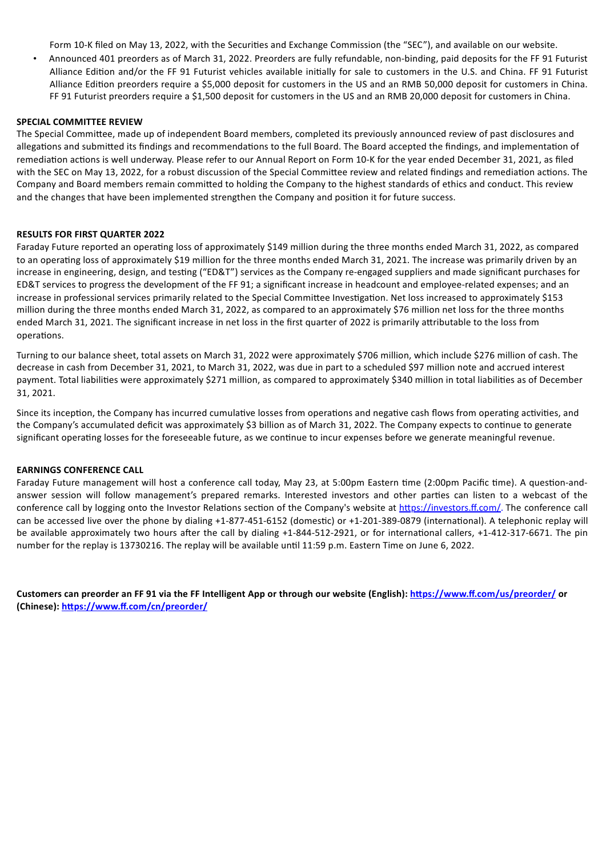Form 10-K filed on May 13, 2022, with the Securities and Exchange Commission (the "SEC"), and available on our website.

• Announced 401 preorders as of March 31, 2022. Preorders are fully refundable, non-binding, paid deposits for the FF 91 Futurist Alliance Edition and/or the FF 91 Futurist vehicles available initially for sale to customers in the U.S. and China. FF 91 Futurist Alliance Edition preorders require a \$5,000 deposit for customers in the US and an RMB 50,000 deposit for customers in China. FF 91 Futurist preorders require a \$1,500 deposit for customers in the US and an RMB 20,000 deposit for customers in China.

#### **SPECIAL COMMITTEE REVIEW**

The Special Committee, made up of independent Board members, completed its previously announced review of past disclosures and allegations and submitted its findings and recommendations to the full Board. The Board accepted the findings, and implementation of remediation actions is well underway. Please refer to our Annual Report on Form 10-K for the year ended December 31, 2021, as filed with the SEC on May 13, 2022, for a robust discussion of the Special Committee review and related findings and remediation actions. The Company and Board members remain committed to holding the Company to the highest standards of ethics and conduct. This review and the changes that have been implemented strengthen the Company and position it for future success.

## **RESULTS FOR FIRST QUARTER 2022**

Faraday Future reported an operating loss of approximately \$149 million during the three months ended March 31, 2022, as compared to an operating loss of approximately \$19 million for the three months ended March 31, 2021. The increase was primarily driven by an increase in engineering, design, and testing ("ED&T") services as the Company re-engaged suppliers and made significant purchases for ED&T services to progress the development of the FF 91; a significant increase in headcount and employee-related expenses; and an increase in professional services primarily related to the Special Committee Investigation. Net loss increased to approximately \$153 million during the three months ended March 31, 2022, as compared to an approximately \$76 million net loss for the three months ended March 31, 2021. The significant increase in net loss in the first quarter of 2022 is primarily attributable to the loss from operations.

Turning to our balance sheet, total assets on March 31, 2022 were approximately \$706 million, which include \$276 million of cash. The decrease in cash from December 31, 2021, to March 31, 2022, was due in part to a scheduled \$97 million note and accrued interest payment. Total liabilities were approximately \$271 million, as compared to approximately \$340 million in total liabilities as of December 31, 2021.

Since its inception, the Company has incurred cumulative losses from operations and negative cash flows from operating activities, and the Company's accumulated deficit was approximately \$3 billion as of March 31, 2022. The Company expects to continue to generate significant operating losses for the foreseeable future, as we continue to incur expenses before we generate meaningful revenue.

#### **EARNINGS CONFERENCE CALL**

Faraday Future management will host a conference call today, May 23, at 5:00pm Eastern time (2:00pm Pacific time). A question-andanswer session will follow management's prepared remarks. Interested investors and other parties can listen to a webcast of the conference call by logging onto the Investor Relations section of the Company's website at https://investors.ff.com/. The conference call can be accessed live over the phone by dialing +1-877-451-6152 (domestic) or +1-201-389-0879 (international). A telephonic replay will be available approximately two hours after the call by dialing +1-844-512-2921, or for international callers, +1-412-317-6671. The pin number for the replay is 13730216. The replay will be available until 11:59 p.m. Eastern Time on June 6, 2022.

Customers can preorder an FF 91 via the FF Intelligent App or through our website (English): https://www.ff.com/us/preorder/ or **(Chinese): https://www.ff.com/cn/preorder/**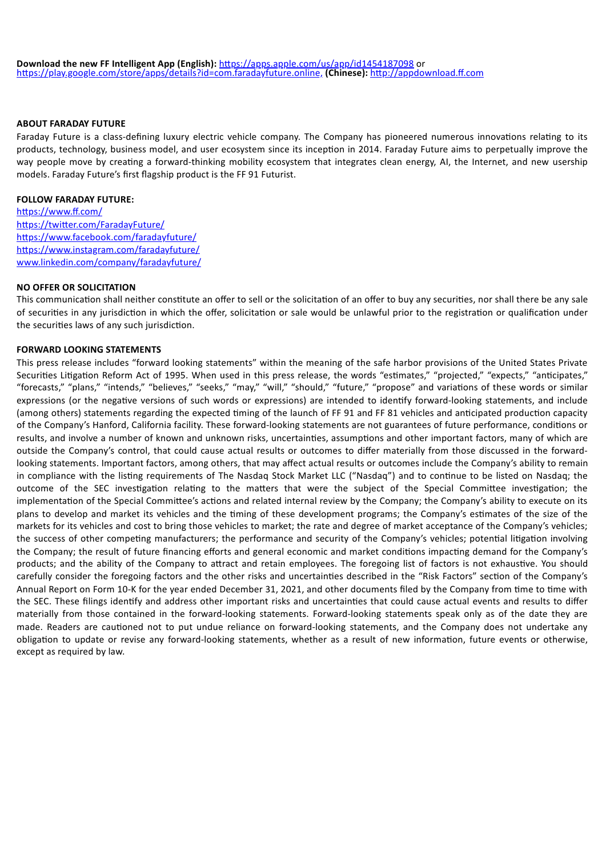## **ABOUT FARADAY FUTURE**

Faraday Future is a class-defining luxury electric vehicle company. The Company has pioneered numerous innovations relating to its products, technology, business model, and user ecosystem since its inception in 2014. Faraday Future aims to perpetually improve the way people move by creating a forward-thinking mobility ecosystem that integrates clean energy, AI, the Internet, and new usership models. Faraday Future's first flagship product is the FF 91 Futurist.

## **FOLLOW FARADAY FUTURE:**

https://www.ff.com/ https://twitter.com/FaradayFuture/ https://www.facebook.com/faradayfuture/ https://www.instagram.com/faradayfuture/ www.linkedin.com/company/faradayfuture/

## **NO OFFER OR SOLICITATION**

This communication shall neither constitute an offer to sell or the solicitation of an offer to buy any securities, nor shall there be any sale of securities in any jurisdiction in which the offer, solicitation or sale would be unlawful prior to the registration or qualification under the securities laws of any such jurisdiction.

## **FORWARD LOOKING STATEMENTS**

This press release includes "forward looking statements" within the meaning of the safe harbor provisions of the United States Private Securities Litigation Reform Act of 1995. When used in this press release, the words "estimates," "projected," "expects," "anticipates," "forecasts," "plans," "intends," "believes," "seeks," "may," "will," "should," "future," "propose" and variations of these words or similar expressions (or the negative versions of such words or expressions) are intended to identify forward-looking statements, and include (among others) statements regarding the expected timing of the launch of FF 91 and FF 81 vehicles and anticipated production capacity of the Company's Hanford, California facility. These forward-looking statements are not guarantees of future performance, conditions or results, and involve a number of known and unknown risks, uncertainties, assumptions and other important factors, many of which are outside the Company's control, that could cause actual results or outcomes to differ materially from those discussed in the forwardlooking statements. Important factors, among others, that may affect actual results or outcomes include the Company's ability to remain in compliance with the listing requirements of The Nasdaq Stock Market LLC ("Nasdaq") and to continue to be listed on Nasdaq; the outcome of the SEC investigation relating to the matters that were the subject of the Special Committee investigation; the implementation of the Special Committee's actions and related internal review by the Company; the Company's ability to execute on its plans to develop and market its vehicles and the timing of these development programs; the Company's estimates of the size of the markets for its vehicles and cost to bring those vehicles to market; the rate and degree of market acceptance of the Company's vehicles; the success of other competing manufacturers; the performance and security of the Company's vehicles; potential litigation involving the Company; the result of future financing efforts and general economic and market conditions impacting demand for the Company's products; and the ability of the Company to attract and retain employees. The foregoing list of factors is not exhaustive. You should carefully consider the foregoing factors and the other risks and uncertainties described in the "Risk Factors" section of the Company's Annual Report on Form 10-K for the year ended December 31, 2021, and other documents filed by the Company from time to time with the SEC. These filings identify and address other important risks and uncertainties that could cause actual events and results to differ materially from those contained in the forward-looking statements. Forward-looking statements speak only as of the date they are made. Readers are cautioned not to put undue reliance on forward-looking statements, and the Company does not undertake any obligation to update or revise any forward-looking statements, whether as a result of new information, future events or otherwise, except as required by law.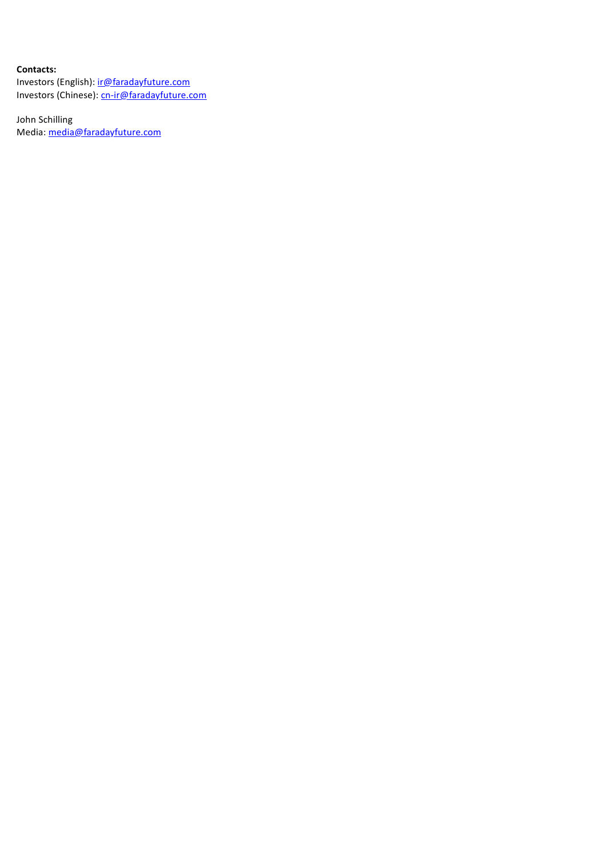# **Contacts:**

Investors (English): *ir@faradayfuture.com* Investors (Chinese): cn-ir@faradayfuture.com

John Schilling Media: media@faradayfuture.com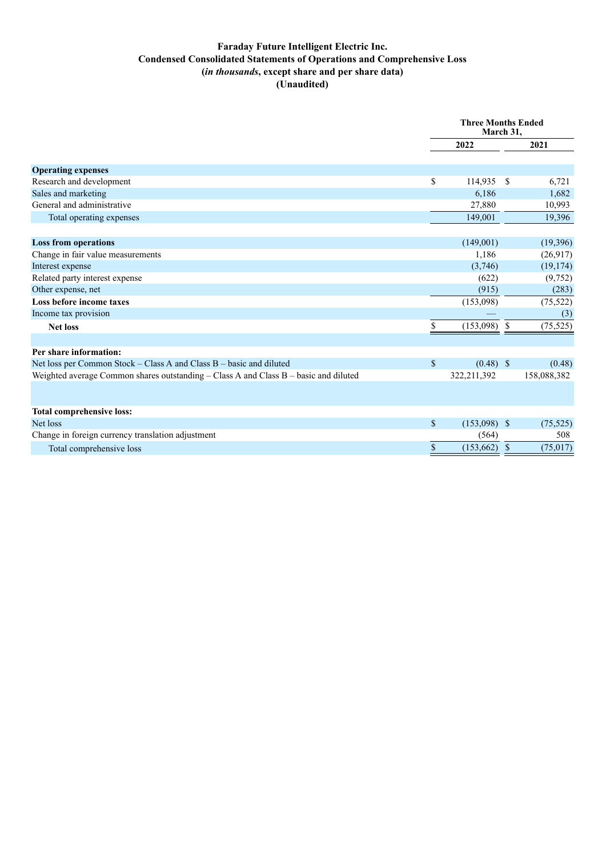# **Faraday Future Intelligent Electric Inc. Condensed Consolidated Statements of Operations and Comprehensive Loss (***in thousands***, except share and per share data) (Unaudited)**

|                                                                                      | <b>Three Months Ended</b><br>March 31, |                |               |             |
|--------------------------------------------------------------------------------------|----------------------------------------|----------------|---------------|-------------|
|                                                                                      |                                        | 2022           |               | 2021        |
| <b>Operating expenses</b>                                                            |                                        |                |               |             |
| Research and development                                                             | \$                                     | 114,935        | S             | 6,721       |
| Sales and marketing                                                                  |                                        | 6,186          |               | 1,682       |
| General and administrative                                                           |                                        | 27,880         |               | 10,993      |
| Total operating expenses                                                             |                                        | 149,001        |               | 19,396      |
| <b>Loss from operations</b>                                                          |                                        | (149,001)      |               | (19,396)    |
| Change in fair value measurements                                                    |                                        | 1,186          |               | (26,917)    |
| Interest expense                                                                     |                                        | (3,746)        |               | (19, 174)   |
| Related party interest expense                                                       |                                        | (622)          |               | (9,752)     |
| Other expense, net                                                                   |                                        | (915)          |               | (283)       |
| Loss before income taxes                                                             |                                        | (153,098)      |               | (75, 522)   |
| Income tax provision                                                                 |                                        |                |               | (3)         |
| <b>Net loss</b>                                                                      | S.                                     | (153,098)      | -S            | (75, 525)   |
| Per share information:                                                               |                                        |                |               |             |
| Net loss per Common Stock – Class A and Class B – basic and diluted                  | $\mathbb{S}$                           | $(0.48)$ \$    |               | (0.48)      |
| Weighted average Common shares outstanding - Class A and Class B - basic and diluted |                                        | 322,211,392    |               | 158,088,382 |
|                                                                                      |                                        |                |               |             |
| <b>Total comprehensive loss:</b>                                                     |                                        |                |               |             |
| Net loss                                                                             | \$                                     | $(153,098)$ \$ |               | (75, 525)   |
| Change in foreign currency translation adjustment                                    |                                        | (564)          |               | 508         |
| Total comprehensive loss                                                             | \$                                     | (153, 662)     | $\mathbf{\$}$ | (75, 017)   |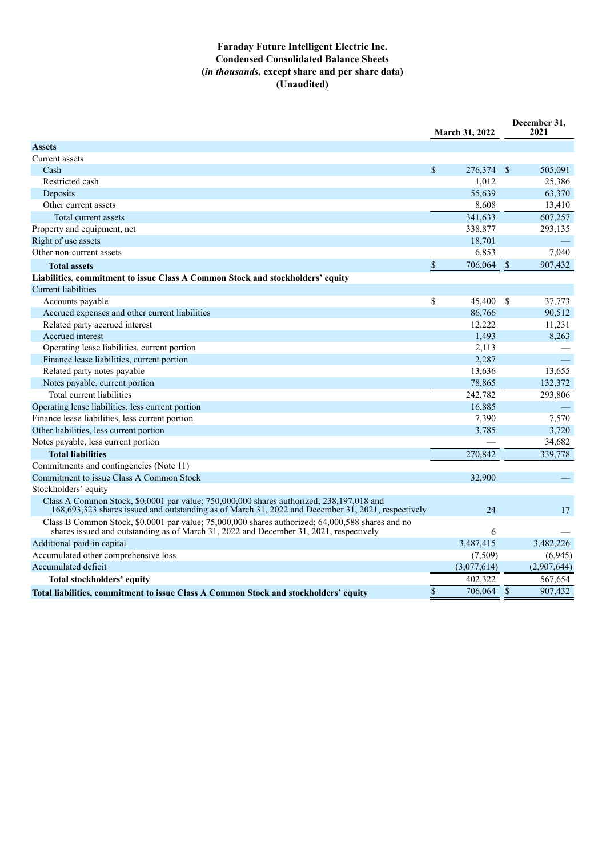# **Faraday Future Intelligent Electric Inc. Condensed Consolidated Balance Sheets (***in thousands***, except share and per share data) (Unaudited)**

|                                                                                                                                                                                                | <b>March 31, 2022</b> |                    | December 31,<br>2021 |
|------------------------------------------------------------------------------------------------------------------------------------------------------------------------------------------------|-----------------------|--------------------|----------------------|
| <b>Assets</b>                                                                                                                                                                                  |                       |                    |                      |
| Current assets                                                                                                                                                                                 |                       |                    |                      |
| Cash                                                                                                                                                                                           | \$<br>276,374 \$      |                    | 505,091              |
| Restricted cash                                                                                                                                                                                | 1,012                 |                    | 25,386               |
| Deposits                                                                                                                                                                                       | 55,639                |                    | 63,370               |
| Other current assets                                                                                                                                                                           | 8,608                 |                    | 13,410               |
| Total current assets                                                                                                                                                                           | 341,633               |                    | 607,257              |
| Property and equipment, net                                                                                                                                                                    | 338,877               |                    | 293,135              |
| Right of use assets                                                                                                                                                                            | 18,701                |                    |                      |
| Other non-current assets                                                                                                                                                                       | 6,853                 |                    | 7,040                |
| <b>Total assets</b>                                                                                                                                                                            | \$<br>706,064         | $\sqrt{\ }$        | 907,432              |
| Liabilities, commitment to issue Class A Common Stock and stockholders' equity                                                                                                                 |                       |                    |                      |
| <b>Current liabilities</b>                                                                                                                                                                     |                       |                    |                      |
| Accounts payable                                                                                                                                                                               | \$<br>45,400          | -S                 | 37,773               |
| Accrued expenses and other current liabilities                                                                                                                                                 | 86,766                |                    | 90,512               |
| Related party accrued interest                                                                                                                                                                 | 12,222                |                    | 11,231               |
| Accrued interest                                                                                                                                                                               | 1,493                 |                    | 8,263                |
| Operating lease liabilities, current portion                                                                                                                                                   | 2,113                 |                    |                      |
| Finance lease liabilities, current portion                                                                                                                                                     | 2,287                 |                    |                      |
| Related party notes payable                                                                                                                                                                    | 13,636                |                    | 13,655               |
| Notes payable, current portion                                                                                                                                                                 | 78,865                |                    | 132,372              |
| Total current liabilities                                                                                                                                                                      | 242,782               |                    | 293,806              |
| Operating lease liabilities, less current portion                                                                                                                                              | 16,885                |                    |                      |
| Finance lease liabilities, less current portion                                                                                                                                                | 7,390                 |                    | 7,570                |
| Other liabilities, less current portion                                                                                                                                                        | 3,785                 |                    | 3,720                |
| Notes payable, less current portion                                                                                                                                                            |                       |                    | 34,682               |
| <b>Total liabilities</b>                                                                                                                                                                       | 270,842               |                    | 339,778              |
| Commitments and contingencies (Note 11)                                                                                                                                                        |                       |                    |                      |
| Commitment to issue Class A Common Stock                                                                                                                                                       | 32,900                |                    |                      |
| Stockholders' equity                                                                                                                                                                           |                       |                    |                      |
| Class A Common Stock, \$0,0001 par value; 750,000,000 shares authorized; 238,197,018 and<br>168,693,323 shares issued and outstanding as of March 31, 2022 and December 31, 2021, respectively | 24                    |                    | 17                   |
| Class B Common Stock, \$0.0001 par value; 75,000,000 shares authorized; 64,000,588 shares and no<br>shares issued and outstanding as of March 31, 2022 and December 31, 2021, respectively     | 6                     |                    |                      |
| Additional paid-in capital                                                                                                                                                                     | 3,487,415             |                    | 3,482,226            |
| Accumulated other comprehensive loss                                                                                                                                                           | (7,509)               |                    | (6,945)              |
| Accumulated deficit                                                                                                                                                                            | (3,077,614)           |                    | (2,907,644)          |
| Total stockholders' equity                                                                                                                                                                     | 402,322               |                    | 567,654              |
| Total liabilities, commitment to issue Class A Common Stock and stockholders' equity                                                                                                           | \$<br>706,064         | $\mathbf{\hat{s}}$ | 907,432              |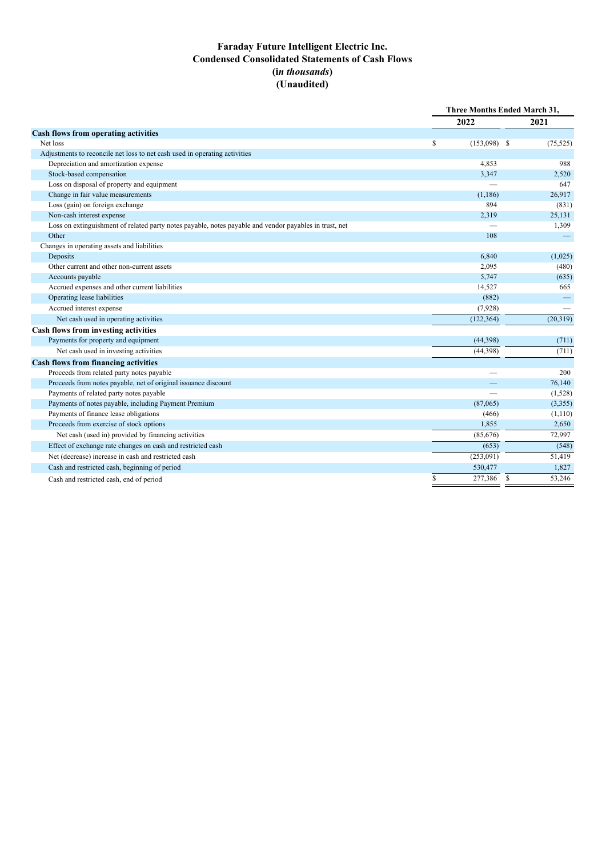# **Faraday Future Intelligent Electric Inc. Condensed Consolidated Statements of Cash Flows (i***n thousands***) (Unaudited)**

|                                                                                                        |    | Three Months Ended March 31, |  |           |
|--------------------------------------------------------------------------------------------------------|----|------------------------------|--|-----------|
|                                                                                                        |    | 2022                         |  | 2021      |
| <b>Cash flows from operating activities</b>                                                            |    |                              |  |           |
| Net loss                                                                                               | S  | $(153,098)$ \$               |  | (75, 525) |
| Adjustments to reconcile net loss to net cash used in operating activities                             |    |                              |  |           |
| Depreciation and amortization expense                                                                  |    | 4,853                        |  | 988       |
| Stock-based compensation                                                                               |    | 3,347                        |  | 2,520     |
| Loss on disposal of property and equipment                                                             |    |                              |  | 647       |
| Change in fair value measurements                                                                      |    | (1, 186)                     |  | 26,917    |
| Loss (gain) on foreign exchange                                                                        |    | 894                          |  | (831)     |
| Non-cash interest expense                                                                              |    | 2,319                        |  | 25,131    |
| Loss on extinguishment of related party notes payable, notes payable and vendor payables in trust, net |    |                              |  | 1,309     |
| Other                                                                                                  |    | 108                          |  |           |
| Changes in operating assets and liabilities                                                            |    |                              |  |           |
| Deposits                                                                                               |    | 6,840                        |  | (1,025)   |
| Other current and other non-current assets                                                             |    | 2,095                        |  | (480)     |
| Accounts payable                                                                                       |    | 5,747                        |  | (635)     |
| Accrued expenses and other current liabilities                                                         |    | 14,527                       |  | 665       |
| Operating lease liabilities                                                                            |    | (882)                        |  |           |
| Accrued interest expense                                                                               |    | (7,928)                      |  |           |
| Net cash used in operating activities                                                                  |    | (122, 364)                   |  | (20,319)  |
| <b>Cash flows from investing activities</b>                                                            |    |                              |  |           |
| Payments for property and equipment                                                                    |    | (44, 398)                    |  | (711)     |
| Net cash used in investing activities                                                                  |    | (44,398)                     |  | (711)     |
| <b>Cash flows from financing activities</b>                                                            |    |                              |  |           |
| Proceeds from related party notes payable                                                              |    |                              |  | 200       |
| Proceeds from notes payable, net of original issuance discount                                         |    |                              |  | 76,140    |
| Payments of related party notes payable                                                                |    |                              |  | (1,528)   |
| Payments of notes payable, including Payment Premium                                                   |    | (87,065)                     |  | (3,355)   |
| Payments of finance lease obligations                                                                  |    | (466)                        |  | (1,110)   |
| Proceeds from exercise of stock options                                                                |    | 1,855                        |  | 2,650     |
| Net cash (used in) provided by financing activities                                                    |    | (85,676)                     |  | 72,997    |
| Effect of exchange rate changes on cash and restricted cash                                            |    | (653)                        |  | (548)     |
| Net (decrease) increase in cash and restricted cash                                                    |    | (253,091)                    |  | 51,419    |
| Cash and restricted cash, beginning of period                                                          |    | 530,477                      |  | 1,827     |
| Cash and restricted cash, end of period                                                                | \$ | 277,386 \$                   |  | 53,246    |